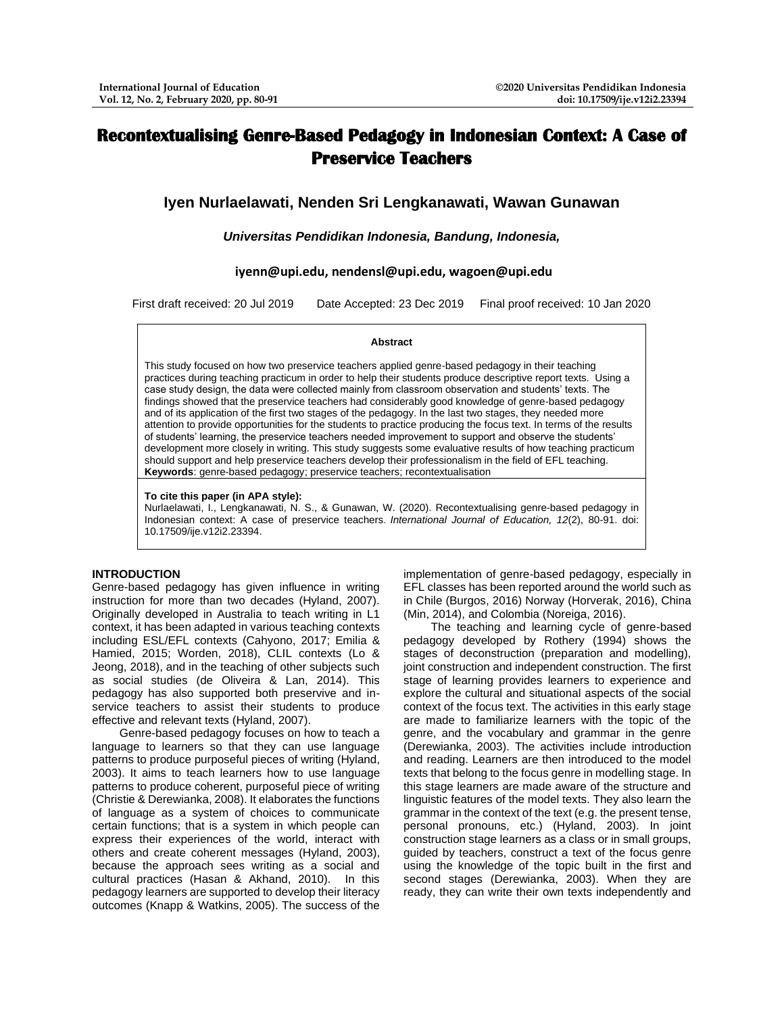# **Recontextualising Genre-Based Pedagogy in Indonesian Context: A Case of Preservice Teachers**

## **Iyen Nurlaelawati, Nenden Sri Lengkanawati, Wawan Gunawan**

## *Universitas Pendidikan Indonesia, Bandung, Indonesia,*

## **[iyenn@upi.edu,](mailto:iyenn@upi.edu) [nendensl@upi.edu,](mailto:nendensl@upi.edu) [wagoen@upi.edu](mailto:wagoen@upi.edu)**

First draft received: 20 Jul 2019 Date Accepted: 23 Dec 2019 Final proof received: 10 Jan 2020

#### **Abstract**

This study focused on how two preservice teachers applied genre-based pedagogy in their teaching practices during teaching practicum in order to help their students produce descriptive report texts. Using a case study design, the data were collected mainly from classroom observation and students' texts. The findings showed that the preservice teachers had considerably good knowledge of genre-based pedagogy and of its application of the first two stages of the pedagogy. In the last two stages, they needed more attention to provide opportunities for the students to practice producing the focus text. In terms of the results of students' learning, the preservice teachers needed improvement to support and observe the students' development more closely in writing. This study suggests some evaluative results of how teaching practicum should support and help preservice teachers develop their professionalism in the field of EFL teaching. **Keywords**: genre-based pedagogy; preservice teachers; recontextualisation

#### **To cite this paper (in APA style):**

Nurlaelawati, I., Lengkanawati, N. S., & Gunawan, W. (2020). Recontextualising genre-based pedagogy in Indonesian context: A case of preservice teachers. *International Journal of Education, 12*(2), 80-91. doi: 10.17509/ije.v12i2.23394.

## **INTRODUCTION**

Genre-based pedagogy has given influence in writing instruction for more than two decades (Hyland, 2007). Originally developed in Australia to teach writing in L1 context, it has been adapted in various teaching contexts including ESL/EFL contexts (Cahyono, 2017; Emilia & Hamied, 2015; Worden, 2018), CLIL contexts (Lo & Jeong, 2018), and in the teaching of other subjects such as social studies (de Oliveira & Lan, 2014). This pedagogy has also supported both preservive and inservice teachers to assist their students to produce effective and relevant texts (Hyland, 2007).

Genre-based pedagogy focuses on how to teach a language to learners so that they can use language patterns to produce purposeful pieces of writing (Hyland, 2003). It aims to teach learners how to use language patterns to produce coherent, purposeful piece of writing (Christie & Derewianka, 2008). It elaborates the functions of language as a system of choices to communicate certain functions; that is a system in which people can express their experiences of the world, interact with others and create coherent messages (Hyland, 2003), because the approach sees writing as a social and cultural practices (Hasan & Akhand, 2010). In this pedagogy learners are supported to develop their literacy outcomes (Knapp & Watkins, 2005). The success of the

implementation of genre-based pedagogy, especially in EFL classes has been reported around the world such as in Chile (Burgos, 2016) Norway (Horverak, 2016), China (Min, 2014), and Colombia (Noreiga, 2016).

The teaching and learning cycle of genre-based pedagogy developed by Rothery (1994) shows the stages of deconstruction (preparation and modelling), joint construction and independent construction. The first stage of learning provides learners to experience and explore the cultural and situational aspects of the social context of the focus text. The activities in this early stage are made to familiarize learners with the topic of the genre, and the vocabulary and grammar in the genre (Derewianka, 2003). The activities include introduction and reading. Learners are then introduced to the model texts that belong to the focus genre in modelling stage. In this stage learners are made aware of the structure and linguistic features of the model texts. They also learn the grammar in the context of the text (e.g. the present tense, personal pronouns, etc.) (Hyland, 2003). In joint construction stage learners as a class or in small groups, guided by teachers, construct a text of the focus genre using the knowledge of the topic built in the first and second stages (Derewianka, 2003). When they are ready, they can write their own texts independently and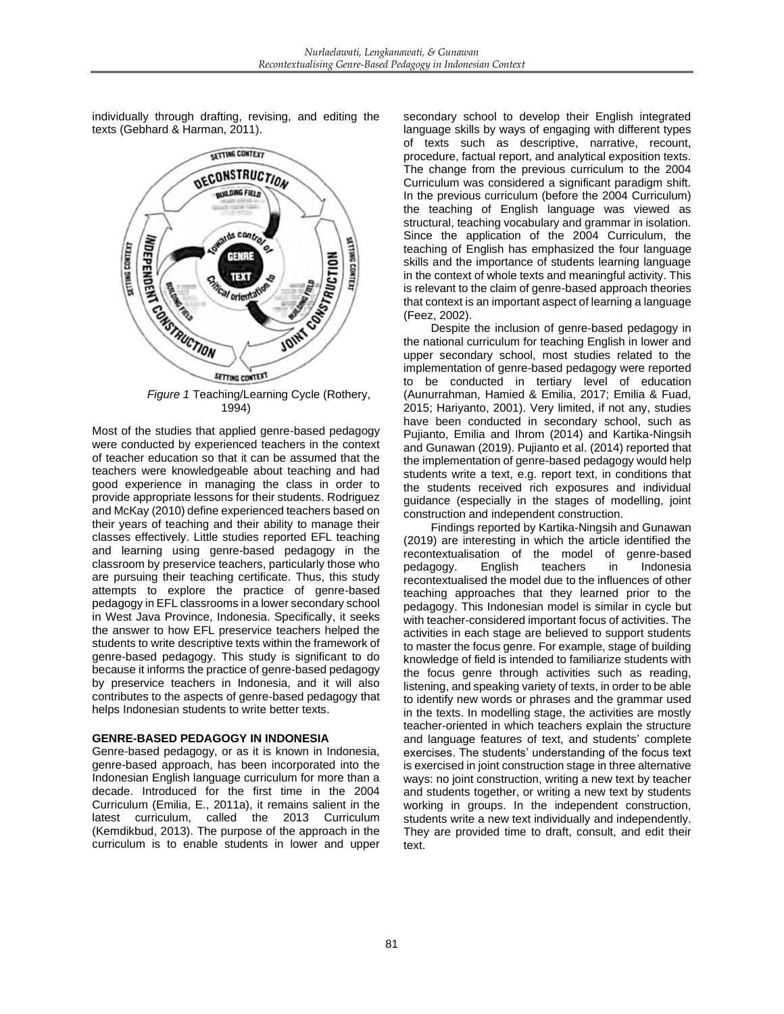individually through drafting, revising, and editing the texts (Gebhard & Harman, 2011).



1994)

Most of the studies that applied genre-based pedagogy were conducted by experienced teachers in the context of teacher education so that it can be assumed that the teachers were knowledgeable about teaching and had good experience in managing the class in order to provide appropriate lessons for their students. Rodriguez and McKay (2010) define experienced teachers based on their years of teaching and their ability to manage their classes effectively. Little studies reported EFL teaching and learning using genre-based pedagogy in the classroom by preservice teachers, particularly those who are pursuing their teaching certificate. Thus, this study attempts to explore the practice of genre-based pedagogy in EFL classrooms in a lower secondary school in West Java Province, Indonesia. Specifically, it seeks the answer to how EFL preservice teachers helped the students to write descriptive texts within the framework of genre-based pedagogy. This study is significant to do because it informs the practice of genre-based pedagogy by preservice teachers in Indonesia, and it will also contributes to the aspects of genre-based pedagogy that helps Indonesian students to write better texts.

## **GENRE-BASED PEDAGOGY IN INDONESIA**

Genre-based pedagogy, or as it is known in Indonesia, genre-based approach, has been incorporated into the Indonesian English language curriculum for more than a decade. Introduced for the first time in the 2004 Curriculum (Emilia, E., 2011a), it remains salient in the latest curriculum, called the 2013 Curriculum (Kemdikbud, 2013). The purpose of the approach in the curriculum is to enable students in lower and upper secondary school to develop their English integrated language skills by ways of engaging with different types of texts such as descriptive, narrative, recount, procedure, factual report, and analytical exposition texts. The change from the previous curriculum to the 2004 Curriculum was considered a significant paradigm shift. In the previous curriculum (before the 2004 Curriculum) the teaching of English language was viewed as structural, teaching vocabulary and grammar in isolation. Since the application of the 2004 Curriculum, the teaching of English has emphasized the four language skills and the importance of students learning language in the context of whole texts and meaningful activity. This is relevant to the claim of genre-based approach theories that context is an important aspect of learning a language (Feez, 2002).

Despite the inclusion of genre-based pedagogy in the national curriculum for teaching English in lower and upper secondary school, most studies related to the implementation of genre-based pedagogy were reported to be conducted in tertiary level of education (Aunurrahman, Hamied & Emilia, 2017; Emilia & Fuad, 2015; Hariyanto, 2001). Very limited, if not any, studies have been conducted in secondary school, such as Pujianto, Emilia and Ihrom (2014) and Kartika-Ningsih and Gunawan (2019). Pujianto et al. (2014) reported that the implementation of genre-based pedagogy would help students write a text, e.g. report text, in conditions that the students received rich exposures and individual guidance (especially in the stages of modelling, joint construction and independent construction.

Findings reported by Kartika-Ningsih and Gunawan (2019) are interesting in which the article identified the recontextualisation of the model of genre-based pedagogy. English teachers in Indonesia recontextualised the model due to the influences of other teaching approaches that they learned prior to the pedagogy. This Indonesian model is similar in cycle but with teacher-considered important focus of activities. The activities in each stage are believed to support students to master the focus genre. For example, stage of building knowledge of field is intended to familiarize students with the focus genre through activities such as reading, listening, and speaking variety of texts, in order to be able to identify new words or phrases and the grammar used in the texts. In modelling stage, the activities are mostly teacher-oriented in which teachers explain the structure and language features of text, and students' complete exercises. The students' understanding of the focus text is exercised in joint construction stage in three alternative ways: no joint construction, writing a new text by teacher and students together, or writing a new text by students working in groups. In the independent construction, students write a new text individually and independently. They are provided time to draft, consult, and edit their text.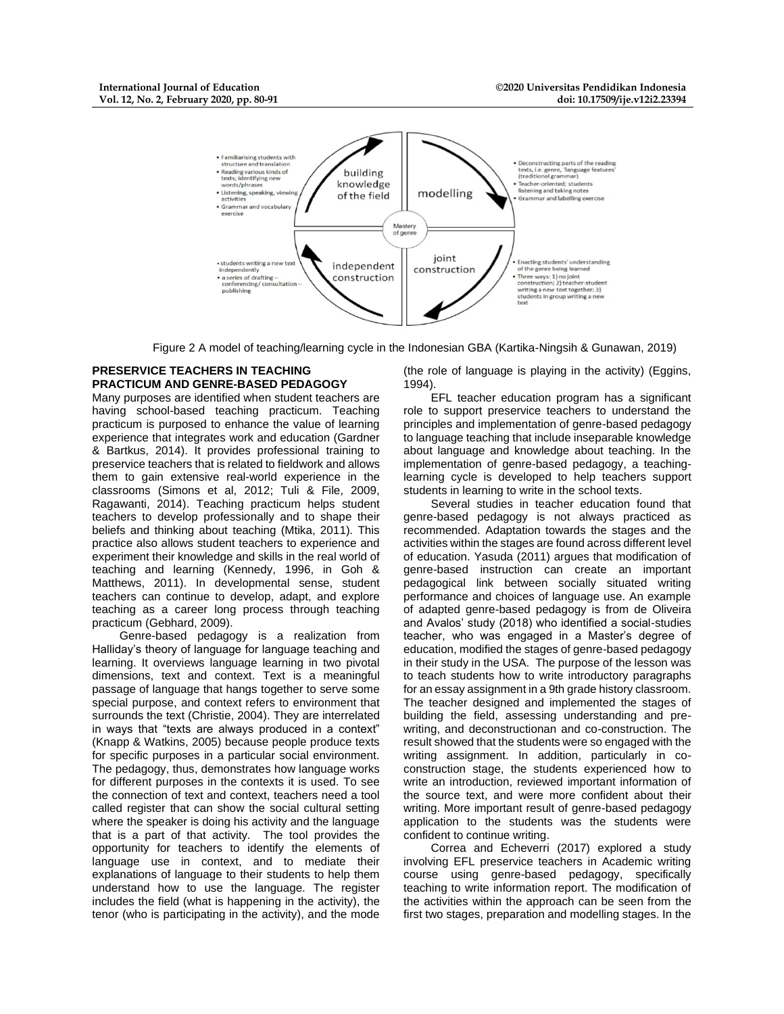

Figure 2 A model of teaching/learning cycle in the Indonesian GBA (Kartika-Ningsih & Gunawan, 2019)

## **PRESERVICE TEACHERS IN TEACHING PRACTICUM AND GENRE-BASED PEDAGOGY**

Many purposes are identified when student teachers are having school-based teaching practicum. Teaching practicum is purposed to enhance the value of learning experience that integrates work and education (Gardner & Bartkus, 2014). It provides professional training to preservice teachers that is related to fieldwork and allows them to gain extensive real-world experience in the classrooms (Simons et al, 2012; Tuli & File, 2009, Ragawanti, 2014). Teaching practicum helps student teachers to develop professionally and to shape their beliefs and thinking about teaching (Mtika, 2011). This practice also allows student teachers to experience and experiment their knowledge and skills in the real world of teaching and learning (Kennedy, 1996, in Goh & Matthews, 2011). In developmental sense, student teachers can continue to develop, adapt, and explore teaching as a career long process through teaching practicum (Gebhard, 2009).

Genre-based pedagogy is a realization from Halliday's theory of language for language teaching and learning. It overviews language learning in two pivotal dimensions, text and context. Text is a meaningful passage of language that hangs together to serve some special purpose, and context refers to environment that surrounds the text (Christie, 2004). They are interrelated in ways that "texts are always produced in a context" (Knapp & Watkins, 2005) because people produce texts for specific purposes in a particular social environment. The pedagogy, thus, demonstrates how language works for different purposes in the contexts it is used. To see the connection of text and context, teachers need a tool called register that can show the social cultural setting where the speaker is doing his activity and the language that is a part of that activity. The tool provides the opportunity for teachers to identify the elements of language use in context, and to mediate their explanations of language to their students to help them understand how to use the language. The register includes the field (what is happening in the activity), the tenor (who is participating in the activity), and the mode

(the role of language is playing in the activity) (Eggins, 1994).

EFL teacher education program has a significant role to support preservice teachers to understand the principles and implementation of genre-based pedagogy to language teaching that include inseparable knowledge about language and knowledge about teaching. In the implementation of genre-based pedagogy, a teachinglearning cycle is developed to help teachers support students in learning to write in the school texts.

Several studies in teacher education found that genre-based pedagogy is not always practiced as recommended. Adaptation towards the stages and the activities within the stages are found across different level of education. Yasuda (2011) argues that modification of genre-based instruction can create an important pedagogical link between socially situated writing performance and choices of language use. An example of adapted genre-based pedagogy is from de Oliveira and Avalos' study (2018) who identified a social-studies teacher, who was engaged in a Master's degree of education, modified the stages of genre-based pedagogy in their study in the USA. The purpose of the lesson was to teach students how to write introductory paragraphs for an essay assignment in a 9th grade history classroom. The teacher designed and implemented the stages of building the field, assessing understanding and prewriting, and deconstructionan and co-construction. The result showed that the students were so engaged with the writing assignment. In addition, particularly in coconstruction stage, the students experienced how to write an introduction, reviewed important information of the source text, and were more confident about their writing. More important result of genre-based pedagogy application to the students was the students were confident to continue writing.

Correa and Echeverri (2017) explored a study involving EFL preservice teachers in Academic writing course using genre-based pedagogy, specifically teaching to write information report. The modification of the activities within the approach can be seen from the first two stages, preparation and modelling stages. In the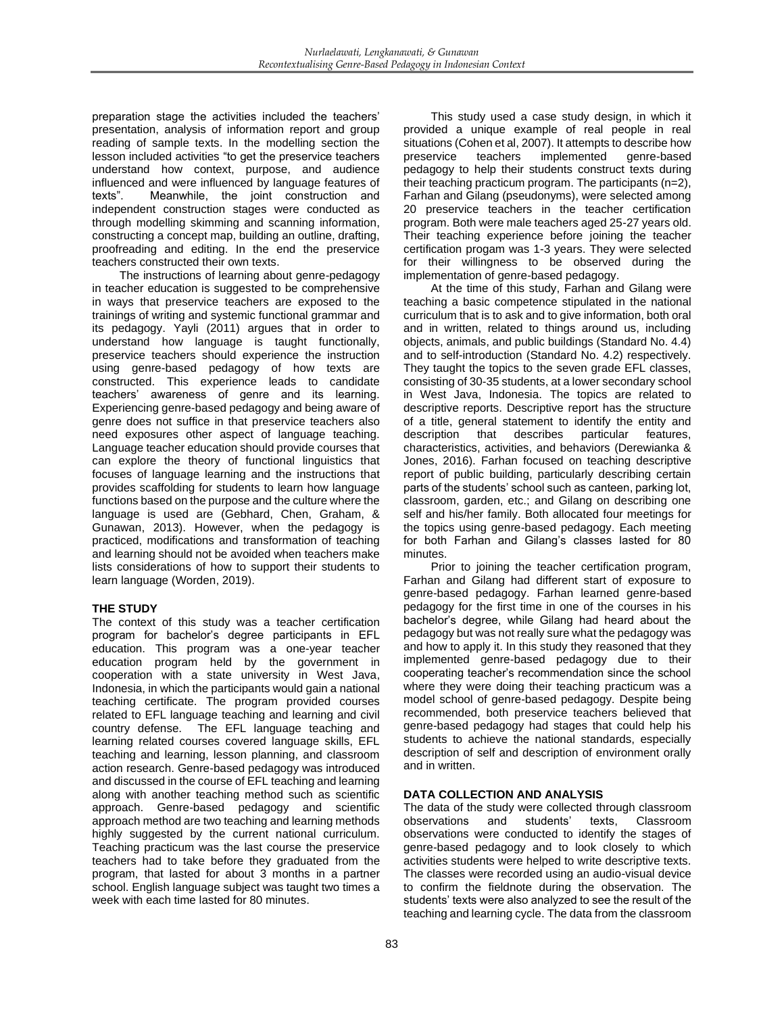preparation stage the activities included the teachers' presentation, analysis of information report and group reading of sample texts. In the modelling section the lesson included activities "to get the preservice teachers understand how context, purpose, and audience influenced and were influenced by language features of texts". Meanwhile, the joint construction and independent construction stages were conducted as through modelling skimming and scanning information, constructing a concept map, building an outline, drafting, proofreading and editing. In the end the preservice teachers constructed their own texts.

The instructions of learning about genre-pedagogy in teacher education is suggested to be comprehensive in ways that preservice teachers are exposed to the trainings of writing and systemic functional grammar and its pedagogy. Yayli (2011) argues that in order to understand how language is taught functionally, preservice teachers should experience the instruction using genre-based pedagogy of how texts are constructed. This experience leads to candidate teachers' awareness of genre and its learning. Experiencing genre-based pedagogy and being aware of genre does not suffice in that preservice teachers also need exposures other aspect of language teaching. Language teacher education should provide courses that can explore the theory of functional linguistics that focuses of language learning and the instructions that provides scaffolding for students to learn how language functions based on the purpose and the culture where the language is used are (Gebhard, Chen, Graham, & Gunawan, 2013). However, when the pedagogy is practiced, modifications and transformation of teaching and learning should not be avoided when teachers make lists considerations of how to support their students to learn language (Worden, 2019).

## **THE STUDY**

The context of this study was a teacher certification program for bachelor's degree participants in EFL education. This program was a one-year teacher education program held by the government in cooperation with a state university in West Java, Indonesia, in which the participants would gain a national teaching certificate. The program provided courses related to EFL language teaching and learning and civil country defense. The EFL language teaching and learning related courses covered language skills, EFL teaching and learning, lesson planning, and classroom action research. Genre-based pedagogy was introduced and discussed in the course of EFL teaching and learning along with another teaching method such as scientific approach. Genre-based pedagogy and scientific approach method are two teaching and learning methods highly suggested by the current national curriculum. Teaching practicum was the last course the preservice teachers had to take before they graduated from the program, that lasted for about 3 months in a partner school. English language subject was taught two times a week with each time lasted for 80 minutes.

This study used a case study design, in which it provided a unique example of real people in real situations (Cohen et al, 2007). It attempts to describe how preservice teachers implemented genre-based pedagogy to help their students construct texts during their teaching practicum program. The participants (n=2), Farhan and Gilang (pseudonyms), were selected among 20 preservice teachers in the teacher certification program. Both were male teachers aged 25-27 years old. Their teaching experience before joining the teacher certification progam was 1-3 years. They were selected for their willingness to be observed during the implementation of genre-based pedagogy.

At the time of this study, Farhan and Gilang were teaching a basic competence stipulated in the national curriculum that is to ask and to give information, both oral and in written, related to things around us, including objects, animals, and public buildings (Standard No. 4.4) and to self-introduction (Standard No. 4.2) respectively. They taught the topics to the seven grade EFL classes, consisting of 30-35 students, at a lower secondary school in West Java, Indonesia. The topics are related to descriptive reports. Descriptive report has the structure of a title, general statement to identify the entity and description that describes particular features, characteristics, activities, and behaviors (Derewianka & Jones, 2016). Farhan focused on teaching descriptive report of public building, particularly describing certain parts of the students' school such as canteen, parking lot, classroom, garden, etc.; and Gilang on describing one self and his/her family. Both allocated four meetings for the topics using genre-based pedagogy. Each meeting for both Farhan and Gilang's classes lasted for 80 minutes.

Prior to joining the teacher certification program, Farhan and Gilang had different start of exposure to genre-based pedagogy. Farhan learned genre-based pedagogy for the first time in one of the courses in his bachelor's degree, while Gilang had heard about the pedagogy but was not really sure what the pedagogy was and how to apply it. In this study they reasoned that they implemented genre-based pedagogy due to their cooperating teacher's recommendation since the school where they were doing their teaching practicum was a model school of genre-based pedagogy. Despite being recommended, both preservice teachers believed that genre-based pedagogy had stages that could help his students to achieve the national standards, especially description of self and description of environment orally and in written.

## **DATA COLLECTION AND ANALYSIS**

The data of the study were collected through classroom observations and students' texts, Classroom observations were conducted to identify the stages of genre-based pedagogy and to look closely to which activities students were helped to write descriptive texts. The classes were recorded using an audio-visual device to confirm the fieldnote during the observation. The students' texts were also analyzed to see the result of the teaching and learning cycle. The data from the classroom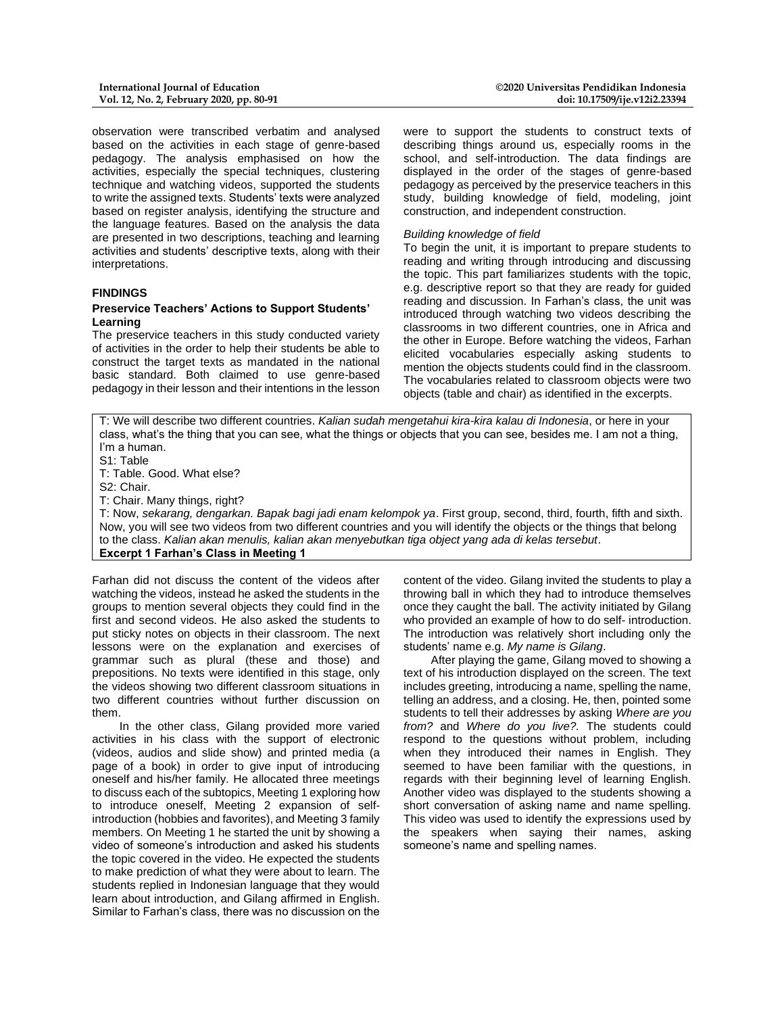observation were transcribed verbatim and analysed based on the activities in each stage of genre-based pedagogy. The analysis emphasised on how the activities, especially the special techniques, clustering technique and watching videos, supported the students to write the assigned texts. Students' texts were analyzed based on register analysis, identifying the structure and the language features. Based on the analysis the data are presented in two descriptions, teaching and learning activities and students' descriptive texts, along with their interpretations.

#### **FINDINGS**

#### **Preservice Teachers' Actions to Support Students' Learning**

The preservice teachers in this study conducted variety of activities in the order to help their students be able to construct the target texts as mandated in the national basic standard. Both claimed to use genre-based pedagogy in their lesson and their intentions in the lesson

were to support the students to construct texts of describing things around us, especially rooms in the school, and self-introduction. The data findings are displayed in the order of the stages of genre-based pedagogy as perceived by the preservice teachers in this study, building knowledge of field, modeling, joint construction, and independent construction.

#### *Building knowledge of field*

To begin the unit, it is important to prepare students to reading and writing through introducing and discussing the topic. This part familiarizes students with the topic, e.g. descriptive report so that they are ready for guided reading and discussion. In Farhan's class, the unit was introduced through watching two videos describing the classrooms in two different countries, one in Africa and the other in Europe. Before watching the videos, Farhan elicited vocabularies especially asking students to mention the objects students could find in the classroom. The vocabularies related to classroom objects were two objects (table and chair) as identified in the excerpts.

T: We will describe two different countries. *Kalian sudah mengetahui kira-kira kalau di Indonesia*, or here in your class, what's the thing that you can see, what the things or objects that you can see, besides me. I am not a thing, I'm a human.

S1: Table

T: Table. Good. What else?

S2: Chair.

T: Chair. Many things, right?

T: Now, *sekarang, dengarkan. Bapak bagi jadi enam kelompok ya*. First group, second, third, fourth, fifth and sixth. Now, you will see two videos from two different countries and you will identify the objects or the things that belong to the class. *Kalian akan menulis, kalian akan menyebutkan tiga object yang ada di kelas tersebut*. **Excerpt 1 Farhan's Class in Meeting 1**

Farhan did not discuss the content of the videos after watching the videos, instead he asked the students in the groups to mention several objects they could find in the first and second videos. He also asked the students to put sticky notes on objects in their classroom. The next lessons were on the explanation and exercises of grammar such as plural (these and those) and prepositions. No texts were identified in this stage, only the videos showing two different classroom situations in two different countries without further discussion on them.

In the other class, Gilang provided more varied activities in his class with the support of electronic (videos, audios and slide show) and printed media (a page of a book) in order to give input of introducing oneself and his/her family. He allocated three meetings to discuss each of the subtopics, Meeting 1 exploring how to introduce oneself, Meeting 2 expansion of selfintroduction (hobbies and favorites), and Meeting 3 family members. On Meeting 1 he started the unit by showing a video of someone's introduction and asked his students the topic covered in the video. He expected the students to make prediction of what they were about to learn. The students replied in Indonesian language that they would learn about introduction, and Gilang affirmed in English. Similar to Farhan's class, there was no discussion on the

content of the video. Gilang invited the students to play a throwing ball in which they had to introduce themselves once they caught the ball. The activity initiated by Gilang who provided an example of how to do self- introduction. The introduction was relatively short including only the students' name e.g. *My name is Gilang*.

After playing the game, Gilang moved to showing a text of his introduction displayed on the screen. The text includes greeting, introducing a name, spelling the name, telling an address, and a closing. He, then, pointed some students to tell their addresses by asking *Where are you from?* and *Where do you live?.* The students could respond to the questions without problem, including when they introduced their names in English. They seemed to have been familiar with the questions, in regards with their beginning level of learning English. Another video was displayed to the students showing a short conversation of asking name and name spelling. This video was used to identify the expressions used by the speakers when saying their names, asking someone's name and spelling names.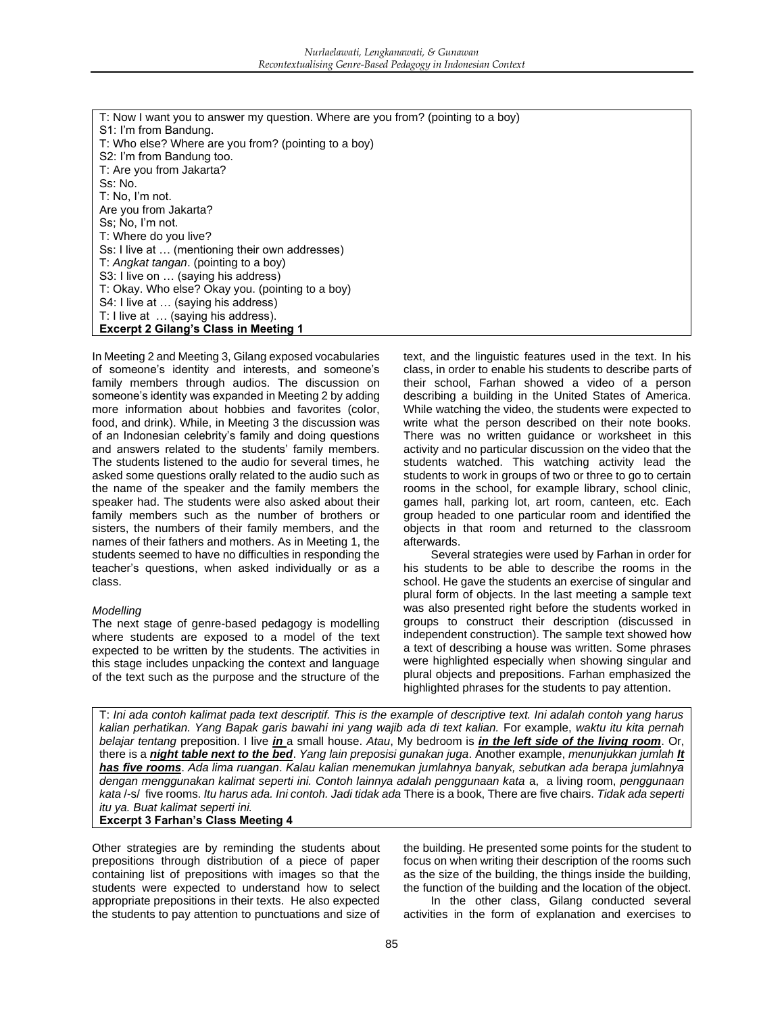| T: Now I want you to answer my question. Where are you from? (pointing to a boy) |
|----------------------------------------------------------------------------------|
| S1: I'm from Bandung.                                                            |
| T: Who else? Where are you from? (pointing to a boy)                             |
| S2: I'm from Bandung too.                                                        |
| T: Are you from Jakarta?                                                         |
| Ss: No.                                                                          |
| T: No, I'm not.                                                                  |
| Are you from Jakarta?                                                            |
| Ss: No, I'm not.                                                                 |
| T: Where do you live?                                                            |
| Ss: I live at  (mentioning their own addresses)                                  |
| T: Angkat tangan. (pointing to a boy)                                            |
| S3: I live on  (saying his address)                                              |
| T: Okay. Who else? Okay you. (pointing to a boy)                                 |
| S4: I live at  (saying his address)                                              |
| T: I live at  (saying his address).                                              |
| <b>Excerpt 2 Gilang's Class in Meeting 1</b>                                     |

In Meeting 2 and Meeting 3, Gilang exposed vocabularies of someone's identity and interests, and someone's family members through audios. The discussion on someone's identity was expanded in Meeting 2 by adding more information about hobbies and favorites (color, food, and drink). While, in Meeting 3 the discussion was of an Indonesian celebrity's family and doing questions and answers related to the students' family members. The students listened to the audio for several times, he asked some questions orally related to the audio such as the name of the speaker and the family members the speaker had. The students were also asked about their family members such as the number of brothers or sisters, the numbers of their family members, and the names of their fathers and mothers. As in Meeting 1, the students seemed to have no difficulties in responding the teacher's questions, when asked individually or as a class.

## *Modelling*

The next stage of genre-based pedagogy is modelling where students are exposed to a model of the text expected to be written by the students. The activities in this stage includes unpacking the context and language of the text such as the purpose and the structure of the

text, and the linguistic features used in the text. In his class, in order to enable his students to describe parts of their school, Farhan showed a video of a person describing a building in the United States of America. While watching the video, the students were expected to write what the person described on their note books. There was no written guidance or worksheet in this activity and no particular discussion on the video that the students watched. This watching activity lead the students to work in groups of two or three to go to certain rooms in the school, for example library, school clinic, games hall, parking lot, art room, canteen, etc. Each group headed to one particular room and identified the objects in that room and returned to the classroom afterwards.

Several strategies were used by Farhan in order for his students to be able to describe the rooms in the school. He gave the students an exercise of singular and plural form of objects. In the last meeting a sample text was also presented right before the students worked in groups to construct their description (discussed in independent construction). The sample text showed how a text of describing a house was written. Some phrases were highlighted especially when showing singular and plural objects and prepositions. Farhan emphasized the highlighted phrases for the students to pay attention.

T: *Ini ada contoh kalimat pada text descriptif. This is the example of descriptive text. Ini adalah contoh yang harus kalian perhatikan. Yang Bapak garis bawahi ini yang wajib ada di text kalian.* For example, *waktu itu kita pernah belajar tentang* preposition. I live *in* a small house. *Atau*, My bedroom is *in the left side of the living room*. Or, there is a *night table next to the bed*. *Yang lain preposisi gunakan juga*. Another example, *menunjukkan jumlah It has five rooms*. *Ada lima ruangan*. *Kalau kalian menemukan jumlahnya banyak, sebutkan ada berapa jumlahnya dengan menggunakan kalimat seperti ini. Contoh lainnya adalah penggunaan kata* a, a living room, *penggunaan kata* /-s/ five rooms. *Itu harus ada. Ini contoh. Jadi tidak ada* There is a book, There are five chairs. *Tidak ada seperti itu ya. Buat kalimat seperti ini.*

#### **Excerpt 3 Farhan's Class Meeting 4**

Other strategies are by reminding the students about prepositions through distribution of a piece of paper containing list of prepositions with images so that the students were expected to understand how to select appropriate prepositions in their texts. He also expected the students to pay attention to punctuations and size of

the building. He presented some points for the student to focus on when writing their description of the rooms such as the size of the building, the things inside the building, the function of the building and the location of the object.

In the other class, Gilang conducted several activities in the form of explanation and exercises to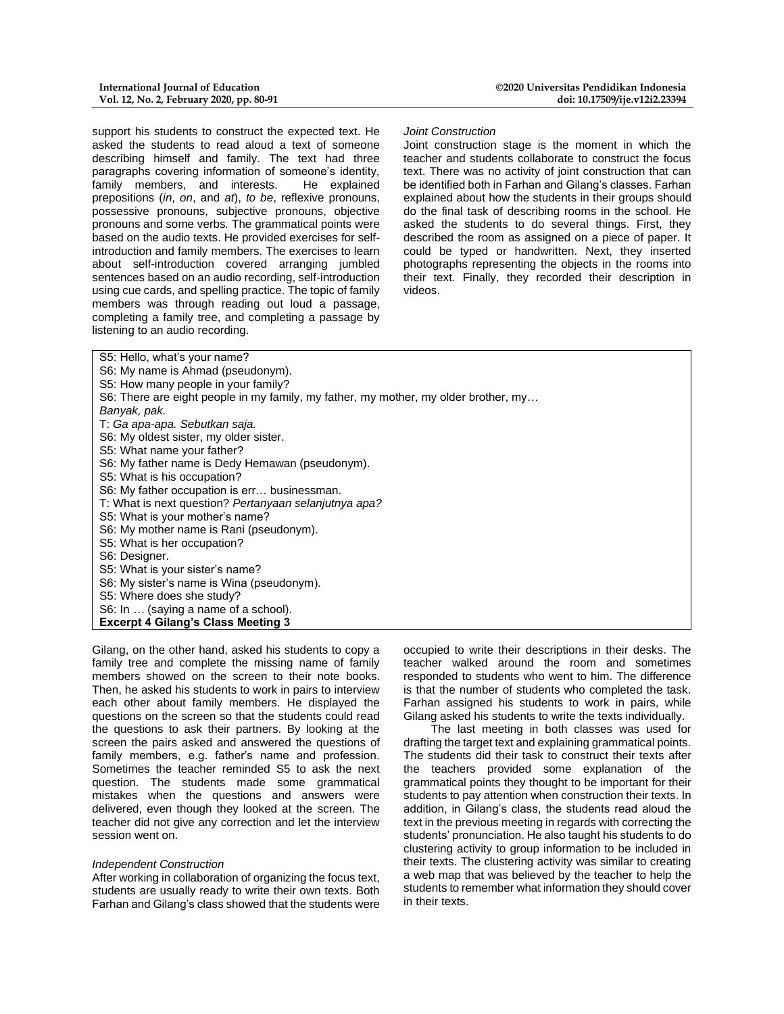support his students to construct the expected text. He asked the students to read aloud a text of someone describing himself and family. The text had three paragraphs covering information of someone's identity, family members, and interests. He explained prepositions (*in*, *on*, and *at*), *to be*, reflexive pronouns, possessive pronouns, subjective pronouns, objective pronouns and some verbs*.* The grammatical points were based on the audio texts. He provided exercises for selfintroduction and family members. The exercises to learn about self-introduction covered arranging jumbled sentences based on an audio recording, self-introduction using cue cards, and spelling practice. The topic of family members was through reading out loud a passage, completing a family tree, and completing a passage by listening to an audio recording.

#### *Joint Construction*

Joint construction stage is the moment in which the teacher and students collaborate to construct the focus text. There was no activity of joint construction that can be identified both in Farhan and Gilang's classes. Farhan explained about how the students in their groups should do the final task of describing rooms in the school. He asked the students to do several things. First, they described the room as assigned on a piece of paper. It could be typed or handwritten. Next, they inserted photographs representing the objects in the rooms into their text. Finally, they recorded their description in videos.

| S5: Hello, what's your name?                                                        |
|-------------------------------------------------------------------------------------|
| S6: My name is Ahmad (pseudonym).                                                   |
| S5: How many people in your family?                                                 |
| S6: There are eight people in my family, my father, my mother, my older brother, my |
| Banyak, pak.                                                                        |
| T: Ga apa-apa. Sebutkan saja.                                                       |
| S6: My oldest sister, my older sister.                                              |
| S5: What name your father?                                                          |
| S6: My father name is Dedy Hemawan (pseudonym).                                     |
| S5: What is his occupation?                                                         |
| S6: My father occupation is err businessman.                                        |
| T: What is next question? Pertanyaan selanjutnya apa?                               |
| S5: What is your mother's name?                                                     |
| S6: My mother name is Rani (pseudonym).                                             |
| S5: What is her occupation?                                                         |
| S6: Designer.                                                                       |
| S5: What is your sister's name?                                                     |
| S6: My sister's name is Wina (pseudonym).                                           |
| S5: Where does she study?                                                           |
| S6: In  (saying a name of a school).                                                |
| <b>Excerpt 4 Gilang's Class Meeting 3</b>                                           |
|                                                                                     |

Gilang, on the other hand, asked his students to copy a family tree and complete the missing name of family members showed on the screen to their note books. Then, he asked his students to work in pairs to interview each other about family members. He displayed the questions on the screen so that the students could read the questions to ask their partners. By looking at the screen the pairs asked and answered the questions of family members, e.g. father's name and profession. Sometimes the teacher reminded S5 to ask the next question. The students made some grammatical mistakes when the questions and answers were delivered, even though they looked at the screen. The teacher did not give any correction and let the interview session went on.

#### *Independent Construction*

After working in collaboration of organizing the focus text, students are usually ready to write their own texts. Both Farhan and Gilang's class showed that the students were occupied to write their descriptions in their desks. The teacher walked around the room and sometimes responded to students who went to him. The difference is that the number of students who completed the task. Farhan assigned his students to work in pairs, while Gilang asked his students to write the texts individually.

The last meeting in both classes was used for drafting the target text and explaining grammatical points. The students did their task to construct their texts after the teachers provided some explanation of the grammatical points they thought to be important for their students to pay attention when construction their texts. In addition, in Gilang's class, the students read aloud the text in the previous meeting in regards with correcting the students' pronunciation. He also taught his students to do clustering activity to group information to be included in their texts. The clustering activity was similar to creating a web map that was believed by the teacher to help the students to remember what information they should cover in their texts.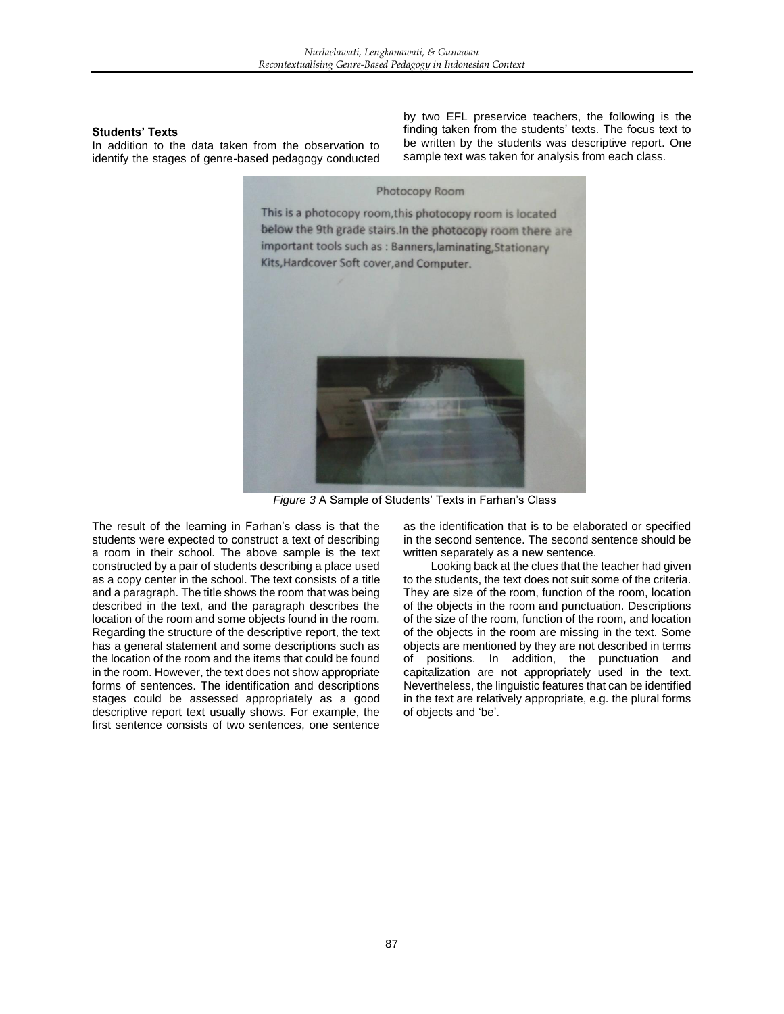## **Students' Texts**

In addition to the data taken from the observation to identify the stages of genre-based pedagogy conducted by two EFL preservice teachers, the following is the finding taken from the students' texts. The focus text to be written by the students was descriptive report. One sample text was taken for analysis from each class.



*Figure 3* A Sample of Students' Texts in Farhan's Class

The result of the learning in Farhan's class is that the students were expected to construct a text of describing a room in their school. The above sample is the text constructed by a pair of students describing a place used as a copy center in the school. The text consists of a title and a paragraph. The title shows the room that was being described in the text, and the paragraph describes the location of the room and some objects found in the room. Regarding the structure of the descriptive report, the text has a general statement and some descriptions such as the location of the room and the items that could be found in the room. However, the text does not show appropriate forms of sentences. The identification and descriptions stages could be assessed appropriately as a good descriptive report text usually shows. For example, the first sentence consists of two sentences, one sentence

as the identification that is to be elaborated or specified in the second sentence. The second sentence should be written separately as a new sentence.

Looking back at the clues that the teacher had given to the students, the text does not suit some of the criteria. They are size of the room, function of the room, location of the objects in the room and punctuation. Descriptions of the size of the room, function of the room, and location of the objects in the room are missing in the text. Some objects are mentioned by they are not described in terms of positions. In addition, the punctuation and capitalization are not appropriately used in the text. Nevertheless, the linguistic features that can be identified in the text are relatively appropriate, e.g. the plural forms of objects and 'be'.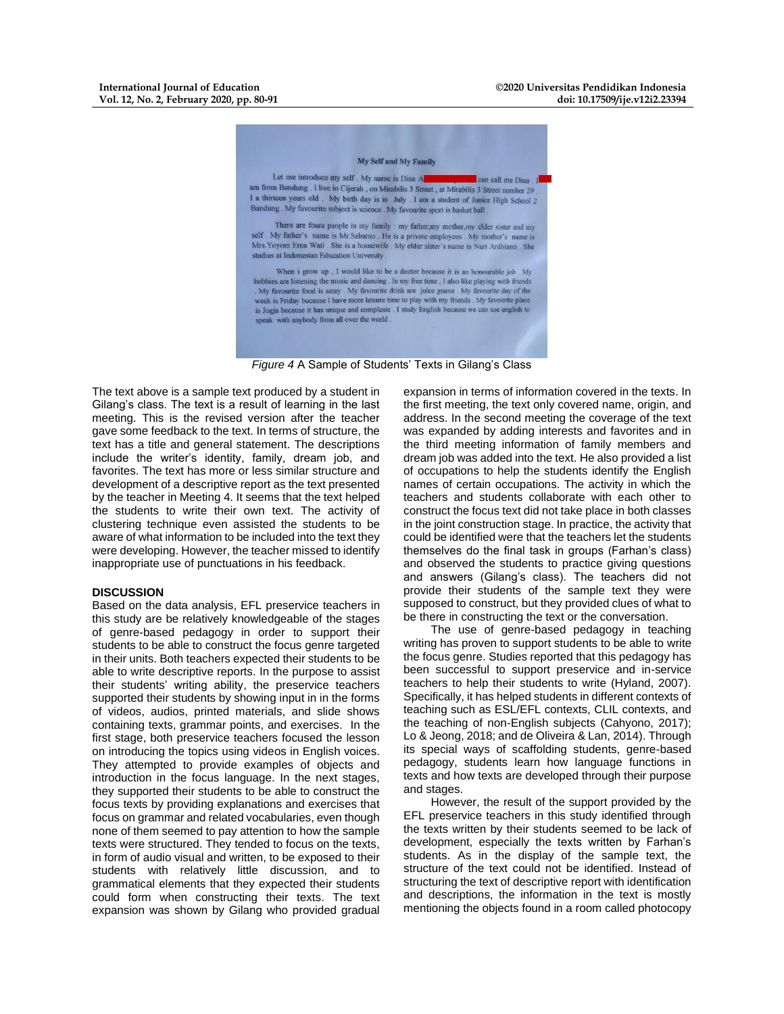

*Figure 4* A Sample of Students' Texts in Gilang's Class

The text above is a sample text produced by a student in Gilang's class. The text is a result of learning in the last meeting. This is the revised version after the teacher gave some feedback to the text. In terms of structure, the text has a title and general statement. The descriptions include the writer's identity, family, dream job, and favorites. The text has more or less similar structure and development of a descriptive report as the text presented by the teacher in Meeting 4. It seems that the text helped the students to write their own text. The activity of clustering technique even assisted the students to be aware of what information to be included into the text they were developing. However, the teacher missed to identify inappropriate use of punctuations in his feedback.

#### **DISCUSSION**

Based on the data analysis, EFL preservice teachers in this study are be relatively knowledgeable of the stages of genre-based pedagogy in order to support their students to be able to construct the focus genre targeted in their units. Both teachers expected their students to be able to write descriptive reports. In the purpose to assist their students' writing ability, the preservice teachers supported their students by showing input in in the forms of videos, audios, printed materials, and slide shows containing texts, grammar points, and exercises. In the first stage, both preservice teachers focused the lesson on introducing the topics using videos in English voices. They attempted to provide examples of objects and introduction in the focus language. In the next stages, they supported their students to be able to construct the focus texts by providing explanations and exercises that focus on grammar and related vocabularies, even though none of them seemed to pay attention to how the sample texts were structured. They tended to focus on the texts, in form of audio visual and written, to be exposed to their students with relatively little discussion, and to grammatical elements that they expected their students could form when constructing their texts. The text expansion was shown by Gilang who provided gradual

expansion in terms of information covered in the texts. In the first meeting, the text only covered name, origin, and address. In the second meeting the coverage of the text was expanded by adding interests and favorites and in the third meeting information of family members and dream job was added into the text. He also provided a list of occupations to help the students identify the English names of certain occupations. The activity in which the teachers and students collaborate with each other to construct the focus text did not take place in both classes in the joint construction stage. In practice, the activity that could be identified were that the teachers let the students themselves do the final task in groups (Farhan's class) and observed the students to practice giving questions and answers (Gilang's class). The teachers did not provide their students of the sample text they were supposed to construct, but they provided clues of what to be there in constructing the text or the conversation.

The use of genre-based pedagogy in teaching writing has proven to support students to be able to write the focus genre. Studies reported that this pedagogy has been successful to support preservice and in-service teachers to help their students to write (Hyland, 2007). Specifically, it has helped students in different contexts of teaching such as ESL/EFL contexts, CLIL contexts, and the teaching of non-English subjects (Cahyono, 2017); Lo & Jeong, 2018; and de Oliveira & Lan, 2014). Through its special ways of scaffolding students, genre-based pedagogy, students learn how language functions in texts and how texts are developed through their purpose and stages.

However, the result of the support provided by the EFL preservice teachers in this study identified through the texts written by their students seemed to be lack of development, especially the texts written by Farhan's students. As in the display of the sample text, the structure of the text could not be identified. Instead of structuring the text of descriptive report with identification and descriptions, the information in the text is mostly mentioning the objects found in a room called photocopy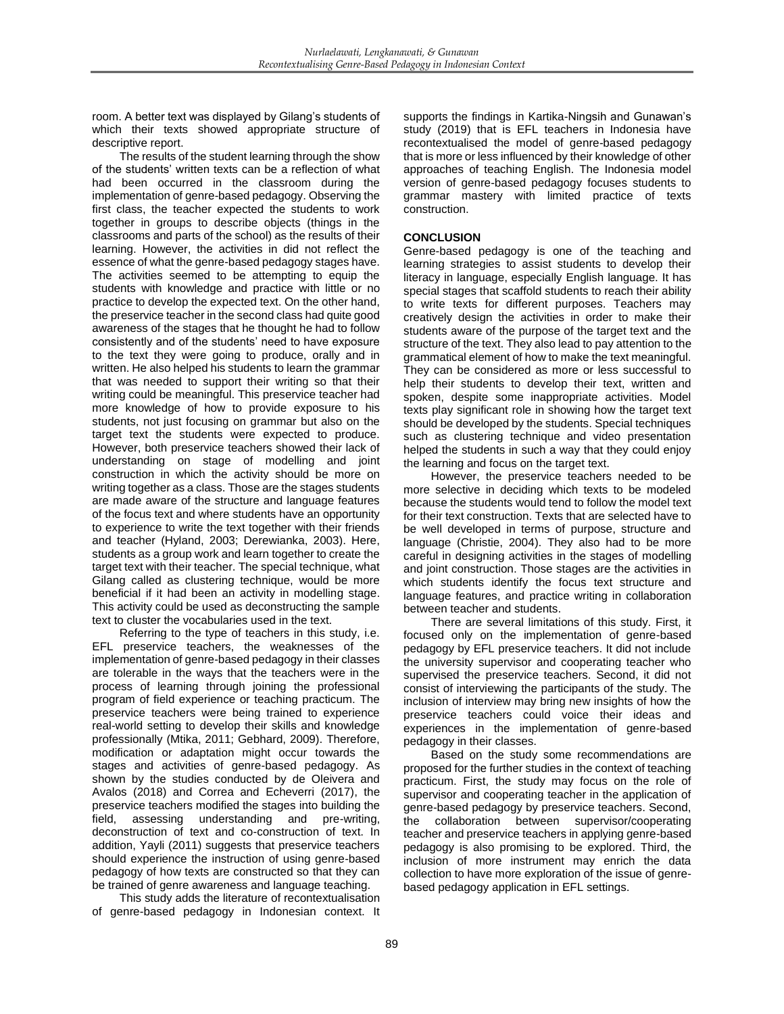room. A better text was displayed by Gilang's students of which their texts showed appropriate structure of descriptive report.

The results of the student learning through the show of the students' written texts can be a reflection of what had been occurred in the classroom during the implementation of genre-based pedagogy. Observing the first class, the teacher expected the students to work together in groups to describe objects (things in the classrooms and parts of the school) as the results of their learning. However, the activities in did not reflect the essence of what the genre-based pedagogy stages have. The activities seemed to be attempting to equip the students with knowledge and practice with little or no practice to develop the expected text. On the other hand, the preservice teacher in the second class had quite good awareness of the stages that he thought he had to follow consistently and of the students' need to have exposure to the text they were going to produce, orally and in written. He also helped his students to learn the grammar that was needed to support their writing so that their writing could be meaningful. This preservice teacher had more knowledge of how to provide exposure to his students, not just focusing on grammar but also on the target text the students were expected to produce. However, both preservice teachers showed their lack of understanding on stage of modelling and joint construction in which the activity should be more on writing together as a class. Those are the stages students are made aware of the structure and language features of the focus text and where students have an opportunity to experience to write the text together with their friends and teacher (Hyland, 2003; Derewianka, 2003). Here, students as a group work and learn together to create the target text with their teacher. The special technique, what Gilang called as clustering technique, would be more beneficial if it had been an activity in modelling stage. This activity could be used as deconstructing the sample text to cluster the vocabularies used in the text.

Referring to the type of teachers in this study, i.e. EFL preservice teachers, the weaknesses of the implementation of genre-based pedagogy in their classes are tolerable in the ways that the teachers were in the process of learning through joining the professional program of field experience or teaching practicum. The preservice teachers were being trained to experience real-world setting to develop their skills and knowledge professionally (Mtika, 2011; Gebhard, 2009). Therefore, modification or adaptation might occur towards the stages and activities of genre-based pedagogy. As shown by the studies conducted by de Oleivera and Avalos (2018) and Correa and Echeverri (2017), the preservice teachers modified the stages into building the field, assessing understanding and pre-writing, deconstruction of text and co-construction of text. In addition, Yayli (2011) suggests that preservice teachers should experience the instruction of using genre-based pedagogy of how texts are constructed so that they can be trained of genre awareness and language teaching.

This study adds the literature of recontextualisation of genre-based pedagogy in Indonesian context. It supports the findings in Kartika-Ningsih and Gunawan's study (2019) that is EFL teachers in Indonesia have recontextualised the model of genre-based pedagogy that is more or less influenced by their knowledge of other approaches of teaching English. The Indonesia model version of genre-based pedagogy focuses students to grammar mastery with limited practice of texts construction.

## **CONCLUSION**

Genre-based pedagogy is one of the teaching and learning strategies to assist students to develop their literacy in language, especially English language. It has special stages that scaffold students to reach their ability to write texts for different purposes. Teachers may creatively design the activities in order to make their students aware of the purpose of the target text and the structure of the text. They also lead to pay attention to the grammatical element of how to make the text meaningful. They can be considered as more or less successful to help their students to develop their text, written and spoken, despite some inappropriate activities. Model texts play significant role in showing how the target text should be developed by the students. Special techniques such as clustering technique and video presentation helped the students in such a way that they could enjoy the learning and focus on the target text.

However, the preservice teachers needed to be more selective in deciding which texts to be modeled because the students would tend to follow the model text for their text construction. Texts that are selected have to be well developed in terms of purpose, structure and language (Christie, 2004). They also had to be more careful in designing activities in the stages of modelling and joint construction. Those stages are the activities in which students identify the focus text structure and language features, and practice writing in collaboration between teacher and students.

There are several limitations of this study. First, it focused only on the implementation of genre-based pedagogy by EFL preservice teachers. It did not include the university supervisor and cooperating teacher who supervised the preservice teachers. Second, it did not consist of interviewing the participants of the study. The inclusion of interview may bring new insights of how the preservice teachers could voice their ideas and experiences in the implementation of genre-based pedagogy in their classes.

Based on the study some recommendations are proposed for the further studies in the context of teaching practicum. First, the study may focus on the role of supervisor and cooperating teacher in the application of genre-based pedagogy by preservice teachers. Second, the collaboration between supervisor/cooperating teacher and preservice teachers in applying genre-based pedagogy is also promising to be explored. Third, the inclusion of more instrument may enrich the data collection to have more exploration of the issue of genrebased pedagogy application in EFL settings.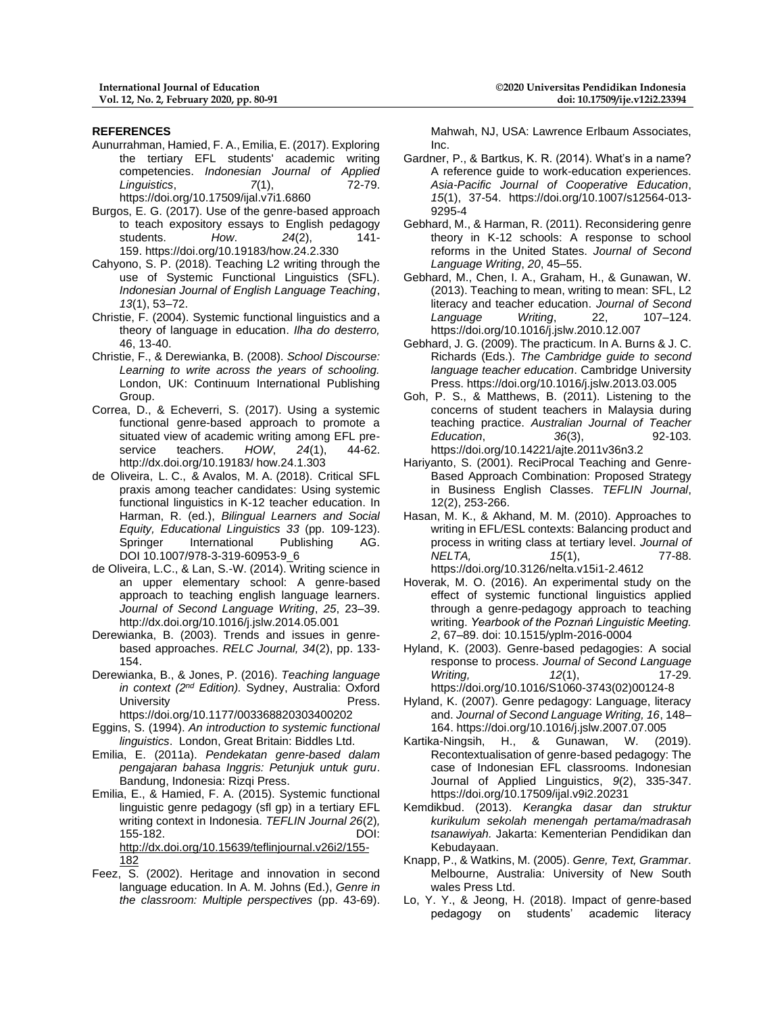### **REFERENCES**

- Aunurrahman, Hamied, F. A., Emilia, E. (2017). Exploring the tertiary EFL students' academic writing competencies. *Indonesian Journal of Applied Linguistics*,  $\frac{7}{1}$ , 72-79. https://doi.org/10.17509/ijal.v7i1.6860
- Burgos, E. G. (2017). Use of the genre-based approach to teach expository essays to English pedagogy students. *How*. *24*(2), 141- 159. https://doi.org/10.19183/how.24.2.330
- Cahyono, S. P. (2018). Teaching L2 writing through the use of Systemic Functional Linguistics (SFL). *Indonesian Journal of English Language Teaching*, *13*(1), 53–72.
- Christie, F. (2004). Systemic functional linguistics and a theory of language in education. *Ilha do desterro,*  46, 13-40.
- Christie, F., & Derewianka, B. (2008). *School Discourse: Learning to write across the years of schooling.* London, UK: Continuum International Publishing Group.
- Correa, D., & Echeverri, S. (2017). Using a systemic functional genre-based approach to promote a situated view of academic writing among EFL preservice teachers. *HOW*, *24*(1), 44-62. http://dx.doi.org/10.19183/ how.24.1.303
- de Oliveira, L. C., & Avalos, M. A. (2018). Critical SFL praxis among teacher candidates: Using systemic functional linguistics in K-12 teacher education. In Harman, R. (ed.), *Bilingual Learners and Social Equity, Educational Linguistics 33* (pp. 109-123). Springer International Publishing AG. DOI 10.1007/978-3-319-60953-9\_6
- de Oliveira, L.C., & Lan, S.-W. (2014). Writing science in an upper elementary school: A genre-based approach to teaching english language learners. *Journal of Second Language Writing*, *25*, 23–39. http://dx.doi.org/10.1016/j.jslw.2014.05.001
- Derewianka, B. (2003). Trends and issues in genrebased approaches. *RELC Journal, 34*(2), pp. 133- 154.
- Derewianka, B., & Jones, P. (2016). *Teaching language in context (2nd Edition).* Sydney, Australia: Oxford University **Press.** https://doi.org/10.1177/003368820303400202
- Eggins, S. (1994). *An introduction to systemic functional linguistics*. London, Great Britain: Biddles Ltd.
- Emilia, E. (2011a). *Pendekatan genre-based dalam pengajaran bahasa Inggris: Petunjuk untuk guru*. Bandung, Indonesia: Rizqi Press.
- Emilia, E., & Hamied, F. A. (2015). Systemic functional linguistic genre pedagogy (sfl gp) in a tertiary EFL writing context in Indonesia. *TEFLIN Journal 26*(2)*,* 155-182. DOI: [http://dx.doi.org/10.15639/teflinjournal.v26i2/155-](http://dx.doi.org/10.15639/teflinjournal.v26i2/155-182) [182](http://dx.doi.org/10.15639/teflinjournal.v26i2/155-182)
- Feez, S. (2002). Heritage and innovation in second language education. In A. M. Johns (Ed.), *Genre in the classroom: Multiple perspectives* (pp. 43-69).

Mahwah, NJ, USA: Lawrence Erlbaum Associates, Inc.

- Gardner, P., & Bartkus, K. R. (2014). What's in a name? A reference guide to work-education experiences. *Asia-Pacific Journal of Cooperative Education*, *15*(1), 37-54. https://doi.org/10.1007/s12564-013- 9295-4
- Gebhard, M., & Harman, R. (2011). Reconsidering genre theory in K-12 schools: A response to school reforms in the United States. *Journal of Second Language Writing*, *20*, 45–55.
- Gebhard, M., Chen, I. A., Graham, H., & Gunawan, W. (2013). Teaching to mean, writing to mean: SFL, L2 literacy and teacher education. *Journal of Second Language Writing*, 22, 107–124. https://doi.org/10.1016/j.jslw.2010.12.007
- Gebhard, J. G. (2009). The practicum. In A. Burns & J. C. Richards (Eds.). *The Cambridge guide to second language teacher education*. Cambridge University Press. https://doi.org/10.1016/j.jslw.2013.03.005
- Goh, P. S., & Matthews, B. (2011). Listening to the concerns of student teachers in Malaysia during teaching practice. *Australian Journal of Teacher Education*, *36*(3), 92-103. https://doi.org/10.14221/ajte.2011v36n3.2
- Hariyanto, S. (2001). ReciProcal Teaching and Genre-Based Approach Combination: Proposed Strategy in Business English Classes. *TEFLIN Journal*, 12(2), 253-266.
- Hasan, M. K., & Akhand, M. M. (2010). Approaches to writing in EFL/ESL contexts: Balancing product and process in writing class at tertiary level. *Journal of NELTA, 15*(1), 77-88. https://doi.org/10.3126/nelta.v15i1-2.4612
- Hoverak, M. O. (2016). An experimental study on the effect of systemic functional linguistics applied through a genre-pedagogy approach to teaching writing. *Yearbook of the Poznań Linguistic Meeting. 2*, 67–89. doi: 10.1515/yplm-2016-0004
- Hyland, K. (2003). Genre-based pedagogies: A social response to process. *Journal of Second Language Writing, 12*(1), 17-29. https://doi.org/10.1016/S1060-3743(02)00124-8
- Hyland, K. (2007). Genre pedagogy: Language, literacy and. *Journal of Second Language Writing, 16*, 148– 164. https://doi.org/10.1016/j.jslw.2007.07.005
- Kartika-Ningsih, H., & Gunawan, W. (2019). Recontextualisation of genre-based pedagogy: The case of Indonesian EFL classrooms. Indonesian Journal of Applied Linguistics, *9*(2), 335-347. https://doi.org/10.17509/ijal.v9i2.20231
- Kemdikbud. (2013). *Kerangka dasar dan struktur kurikulum sekolah menengah pertama/madrasah tsanawiyah.* Jakarta: Kementerian Pendidikan dan Kebudayaan.
- Knapp, P., & Watkins, M. (2005). *Genre, Text, Grammar*. Melbourne, Australia: University of New South wales Press Ltd.
- Lo, Y. Y., & Jeong, H. (2018). Impact of genre-based pedagogy on students' academic literacy